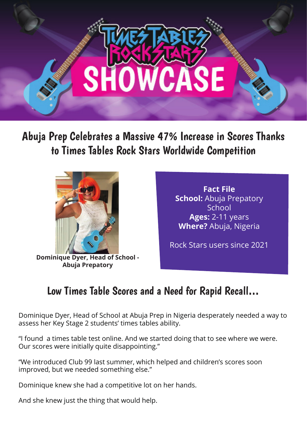

Abuja Prep Celebrates a Massive 47% Increase in Scores Thanks to Times Tables Rock Stars Worldwide Competition



**Dominique Dyer, Head of School - Abuja Prepatory**

**Fact File School:** Abuja Prepatory **School Ages:** 2-11 years **Where?** Abuja, Nigeria

Rock Stars users since 2021

## Low Times Table Scores and a Need for Rapid Recall…

Dominique Dyer, Head of School at Abuja Prep in Nigeria desperately needed a way to assess her Key Stage 2 students' times tables ability.

"I found a times table test online. And we started doing that to see where we were. Our scores were initially quite disappointing."

"We introduced Club 99 last summer, which helped and children's scores soon improved, but we needed something else."

Dominique knew she had a competitive lot on her hands.

And she knew just the thing that would help.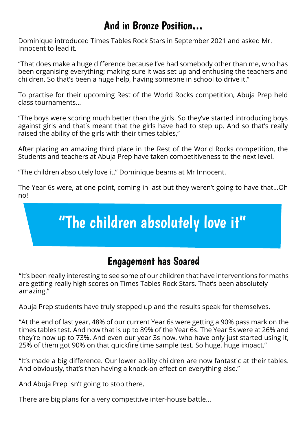## And in Bronze Position…

Dominique introduced Times Tables Rock Stars in September 2021 and asked Mr. Innocent to lead it.

"That does make a huge difference because I've had somebody other than me, who has been organising everything; making sure it was set up and enthusing the teachers and children. So that's been a huge help, having someone in school to drive it."

To practise for their upcoming Rest of the World Rocks competition, Abuja Prep held class tournaments…

"The boys were scoring much better than the girls. So they've started introducing boys against girls and that's meant that the girls have had to step up. And so that's really raised the ability of the girls with their times tables,"

After placing an amazing third place in the Rest of the World Rocks competition, the Students and teachers at Abuja Prep have taken competitiveness to the next level.

"The children absolutely love it," Dominique beams at Mr Innocent.

The Year 6s were, at one point, coming in last but they weren't going to have that…Oh no!

## "The children absolutely love it"

## Engagement has Soared

"It's been really interesting to see some of our children that have interventions for maths are getting really high scores on Times Tables Rock Stars. That's been absolutely amazing."

Abuja Prep students have truly stepped up and the results speak for themselves.

"At the end of last year, 48% of our current Year 6s were getting a 90% pass mark on the times tables test. And now that is up to 89% of the Year 6s. The Year 5s were at 26% and they're now up to 73%. And even our year 3s now, who have only just started using it, 25% of them got 90% on that quickfire time sample test. So huge, huge impact."

"It's made a big difference. Our lower ability children are now fantastic at their tables. And obviously, that's then having a knock-on effect on everything else."

And Abuja Prep isn't going to stop there.

There are big plans for a very competitive inter-house battle…